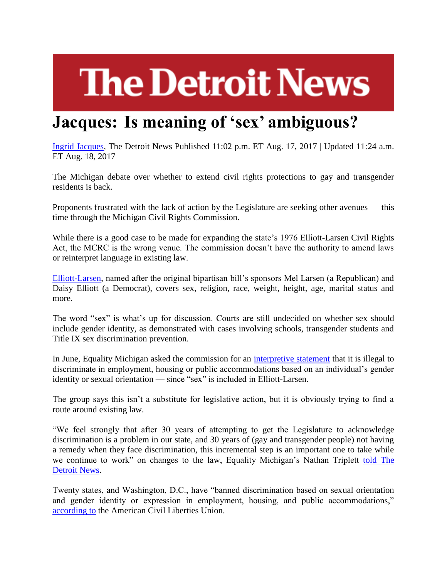## **The Detroit News**

## **Jacques: Is meaning of 'sex' ambiguous?**

[Ingrid Jacques,](http://www.detroitnews.com/staff/26553/ingrid-jacques/) The Detroit News Published 11:02 p.m. ET Aug. 17, 2017 | Updated 11:24 a.m. ET Aug. 18, 2017

The Michigan debate over whether to extend civil rights protections to gay and transgender residents is back.

Proponents frustrated with the lack of action by the Legislature are seeking other avenues — this time through the Michigan Civil Rights Commission.

While there is a good case to be made for expanding the state's 1976 Elliott-Larsen Civil Rights Act, the MCRC is the wrong venue. The commission doesn't have the authority to amend laws or reinterpret language in existing law.

[Elliott-Larsen,](http://www.legislature.mi.gov/documents/mcl/pdf/mcl-act-453-of-1976.pdf) named after the original bipartisan bill's sponsors Mel Larsen (a Republican) and Daisy Elliott (a Democrat), covers sex, religion, race, weight, height, age, marital status and more.

The word "sex" is what's up for discussion. Courts are still undecided on whether sex should include gender identity, as demonstrated with cases involving schools, transgender students and Title IX sex discrimination prevention.

In June, Equality Michigan asked the commission for an [interpretive statement](http://www.michigan.gov/documents/mdcr/EQMI_Request_for_Interpretative_Statement_FINAL_070317_579936_7.pdf) that it is illegal to discriminate in employment, housing or public accommodations based on an individual's gender identity or sexual orientation — since "sex" is included in Elliott-Larsen.

The group says this isn't a substitute for legislative action, but it is obviously trying to find a route around existing law.

"We feel strongly that after 30 years of attempting to get the Legislature to acknowledge discrimination is a problem in our state, and 30 years of (gay and transgender people) not having a remedy when they face discrimination, this incremental step is an important one to take while we continue to work" on changes to the law, Equality Michigan's Nathan Triplett [told The](http://www.detroitnews.com/story/news/politics/2017/08/07/gay-rights-fight-michigan-commission/104392904/)  [Detroit News.](http://www.detroitnews.com/story/news/politics/2017/08/07/gay-rights-fight-michigan-commission/104392904/)

Twenty states, and Washington, D.C., have "banned discrimination based on sexual orientation and gender identity or expression in employment, housing, and public accommodations,["](https://www.aclu.org/other/past-lgbt-nondiscrimination-and-anti-lgbt-bills-across-country) [according to](https://www.aclu.org/other/past-lgbt-nondiscrimination-and-anti-lgbt-bills-across-country) the American Civil Liberties Union.